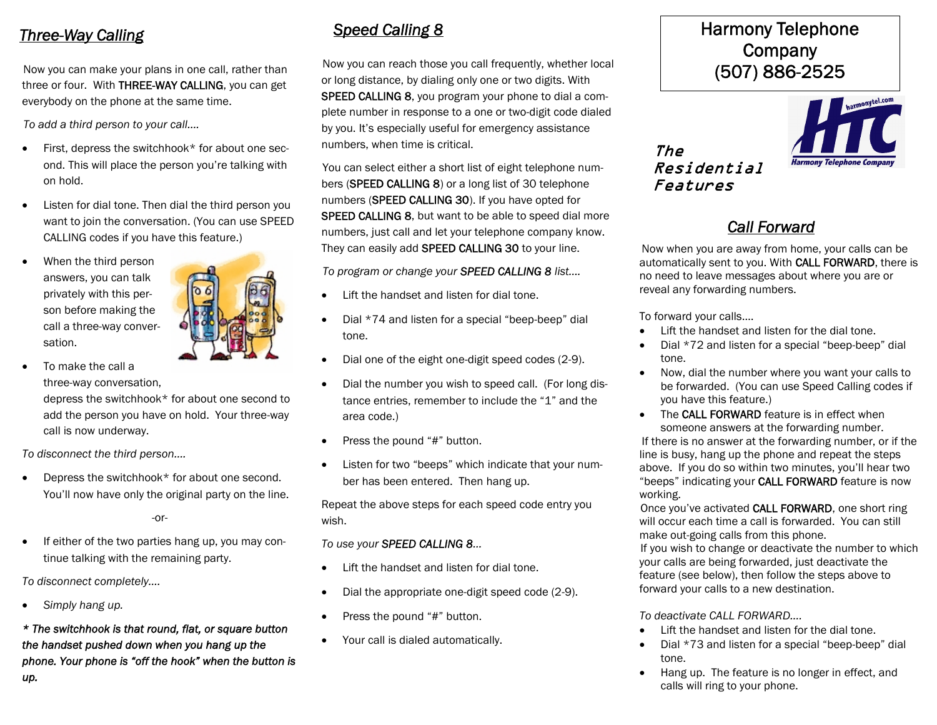### *Three-Way Calling*

Now you can make your plans in one call, rather than three or four. With **THREE-WAY CALLING**, you can get everybody on the phone at the same time.

*To add a third person to your call….*

- First, depress the switchhook\* for about one second. This will place the person you're talking with on hold.
- Listen for dial tone. Then dial the third person you want to join the conversation. (You can use SPEED CALLING codes if you have this feature.)
- When the third person answers, you can talk privately with this person before making the call a three-way conversation.



 To make the call a three-way conversation,

depress the switchhook\* for about one second to add the person you have on hold. Your three-way call is now underway.

*To disconnect the third person….*

 Depress the switchhook\* for about one second. You'll now have only the original party on the line.

-or-

If either of the two parties hang up, you may continue talking with the remaining party.

*To disconnect completely….*

*Simply hang up.*

*\* The switchhook is that round, flat, or square button the handset pushed down when you hang up the phone. Your phone is "off the hook" when the button is up.*

## *Speed Calling 8*

Now you can reach those you call frequently, whether local or long distance, by dialing only one or two digits. With **SPEED CALLING 8**, you program your phone to dial a complete number in response to a one or two-digit code dialed by you. It's especially useful for emergency assistance numbers, when time is critical.

You can select either a short list of eight telephone numbers (**SPEED CALLING 8**) or a long list of 30 telephone numbers (**SPEED CALLING 30**). If you have opted for **SPEED CALLING 8**, but want to be able to speed dial more numbers, just call and let your telephone company know. They can easily add **SPEED CALLING 30** to your line.

*To program or change your SPEED CALLING 8 list….*

- Lift the handset and listen for dial tone.
- Dial \*74 and listen for a special "beep-beep" dial tone.
- Dial one of the eight one-digit speed codes (2-9).
- Dial the number you wish to speed call. (For long distance entries, remember to include the "1" and the area code.)
- Press the pound "#" button.
- Listen for two "beeps" which indicate that your number has been entered. Then hang up.

Repeat the above steps for each speed code entry you wish.

### *To use your SPEED CALLING 8…*

- Lift the handset and listen for dial tone.
- Dial the appropriate one-digit speed code (2-9).
- Press the pound "#" button.
- Your call is dialed automatically.

## **Harmony Telephone Company (507) 886-2525**

*The Residential Features*



# *Call Forward*

Now when you are away from home, your calls can be automatically sent to you. With **CALL FORWARD**, there is no need to leave messages about where you are or reveal any forwarding numbers.

To forward your calls….

- Lift the handset and listen for the dial tone.
- Dial \*72 and listen for a special "beep-beep" dial tone.
- Now, dial the number where you want your calls to be forwarded. (You can use Speed Calling codes if you have this feature.)
- The **CALL FORWARD** feature is in effect when someone answers at the forwarding number.

If there is no answer at the forwarding number, or if the line is busy, hang up the phone and repeat the steps above. If you do so within two minutes, you'll hear two "beeps" indicating your **CALL FORWARD** feature is now working.

Once you've activated **CALL FORWARD**, one short ring will occur each time a call is forwarded. You can still make out-going calls from this phone.

If you wish to change or deactivate the number to which your calls are being forwarded, just deactivate the feature (see below), then follow the steps above to forward your calls to a new destination.

*To deactivate CALL FORWARD….*

- Lift the handset and listen for the dial tone.
- Dial \*73 and listen for a special "beep-beep" dial tone.
- Hang up. The feature is no longer in effect, and calls will ring to your phone.